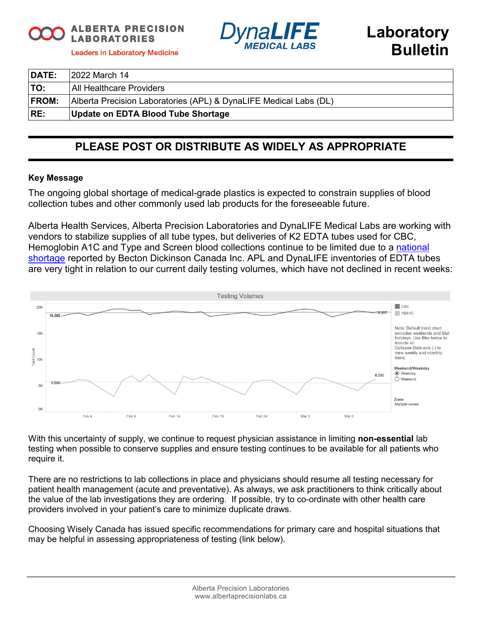**ALBERTA PRECISION LABORATORIES** 



**Leaders in Laboratory Medicine** 

| <b>DATE:</b> | 12022 March 14                                                    |
|--------------|-------------------------------------------------------------------|
| <b>TO:</b>   | <b>All Healthcare Providers</b>                                   |
| <b>FROM:</b> | Alberta Precision Laboratories (APL) & DynaLIFE Medical Labs (DL) |
| RE:          | Update on EDTA Blood Tube Shortage                                |

# **PLEASE POST OR DISTRIBUTE AS WIDELY AS APPROPRIATE**

## **Key Message**

The ongoing global shortage of medical-grade plastics is expected to constrain supplies of blood collection tubes and other commonly used lab products for the foreseeable future.

Alberta Health Services, Alberta Precision Laboratories and DynaLIFE Medical Labs are working with vendors to stabilize supplies of all tube types, but deliveries of K2 EDTA tubes used for CBC, Hemoglobin A1C and Type and Screen blood collections continue to be limited due to a [national](https://www.canada.ca/en/health-canada/services/drugs-health-products/medical-devices/shortages/list/covid-19-bd-vacutainer-tubes.html)  [shortage](https://www.canada.ca/en/health-canada/services/drugs-health-products/medical-devices/shortages/list/covid-19-bd-vacutainer-tubes.html) reported by Becton Dickinson Canada Inc. APL and DynaLIFE inventories of EDTA tubes are very tight in relation to our current daily testing volumes, which have not declined in recent weeks:



With this uncertainty of supply, we continue to request physician assistance in limiting **non-essential** lab testing when possible to conserve supplies and ensure testing continues to be available for all patients who require it.

There are no restrictions to lab collections in place and physicians should resume all testing necessary for patient health management (acute and preventative). As always, we ask practitioners to think critically about the value of the lab investigations they are ordering. If possible, try to co-ordinate with other health care providers involved in your patient's care to minimize duplicate draws.

Choosing Wisely Canada has issued specific recommendations for primary care and hospital situations that may be helpful in assessing appropriateness of testing (link below).